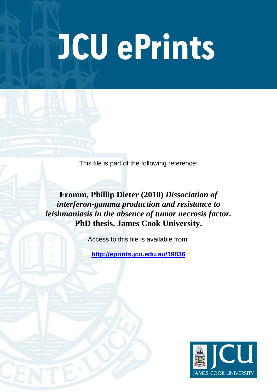# **JCU ePrints**

This file is part of the following reference:

**Fromm, Phillip Dieter (2010)** *Dissociation of interferon-gamma production and resistance to leishmaniasis in the absence of tumor necrosis factor.* **PhD thesis, James Cook University.**

Access to this file is available from:

**<http://eprints.jcu.edu.au/19036>**

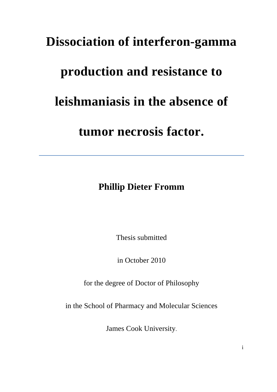## **Dissociation of interferon-gamma**

## **production and resistance to**

## **leishmaniasis in the absence of**

**tumor necrosis factor.**

**Phillip Dieter Fromm**

Thesis submitted

in October 2010

for the degree of Doctor of Philosophy

in the School of Pharmacy and Molecular Sciences

James Cook University.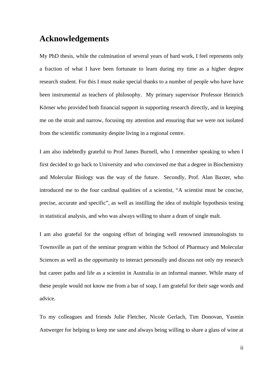#### **Acknowledgements**

My PhD thesis, while the culmination of several years of hard work, I feel represents only a fraction of what I have been fortunate to learn during my time as a higher degree research student. For this I must make special thanks to a number of people who have have been instrumental as teachers of philosophy. My primary supervisor Professor Heinrich Körner who provided both financial support in supporting research directly, and in keeping me on the strait and narrow, focusing my attention and ensuring that we were not isolated from the scientific community despite living in a regional centre.

I am also indebtedly grateful to Prof James Burnell, who I remember speaking to when I first decided to go back to University and who convinved me that a degree in Biochemistry and Molecular Biology was the way of the future. Secondly, Prof. Alan Baxter, who introduced me to the four cardinal qualities of a scientist, "A scientist must be concise, precise, accurate and specific", as well as instilling the idea of multiple hypothesis testing in statistical analysis, and who was always willing to share a dram of single malt.

I am also grateful for the ongoing effort of bringing well renowned immunologists to Townsville as part of the seminar program within the School of Pharmacy and Molecular Sciences as well as the opportunity to interact personally and discuss not only my research but career paths and life as a scientist in Australia in an informal manner. While many of these people would not know me from a bar of soap, I am grateful for their sage words and advice.

To my colleagues and friends Julie Fletcher, Nicole Gerlach, Tim Donovan, Yasmin Antwerger for helping to keep me sane and always being willing to share a glass of wine at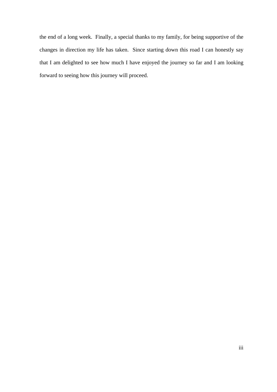the end of a long week. Finally, a special thanks to my family, for being supportive of the changes in direction my life has taken. Since starting down this road I can honestly say that I am delighted to see how much I have enjoyed the journey so far and I am looking forward to seeing how this journey will proceed.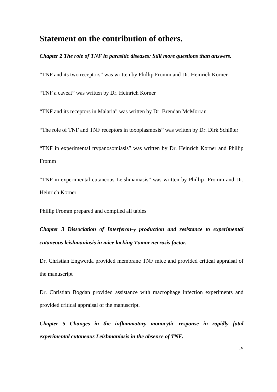#### **Statement on the contribution of others.**

*Chapter 2 The role of TNF in parasitic diseases: Still more questions than answers.*

"TNF and its two receptors" was written by Phillip Fromm and Dr. Heinrich Korner

"TNF a caveat" was written by Dr. Heinrich Korner

"TNF and its receptors in Malaria" was written by Dr. Brendan McMorran

"The role of TNF and TNF receptors in toxoplasmosis" was written by Dr. Dirk Schlüter

"TNF in experimental trypanosomiasis" was written by Dr. Heinrich Korner and Phillip Fromm

"TNF in experimental cutaneous Leishmaniasis" was written by Phillip Fromm and Dr. Heinrich Korner

Phillip Fromm prepared and compiled all tables

*Chapter 3 Dissociation of Interferon-*γ *production and resistance to experimental cutaneous leishmaniasis in mice lacking Tumor necrosis factor.*

Dr. Christian Engwerda provided membrane TNF mice and provided critical appraisal of the manuscript

Dr. Christian Bogdan provided assistance with macrophage infection experiments and provided critical appraisal of the manuscript.

*Chapter 5 Changes in the inflammatory monocytic response in rapidly fatal experimental cutaneous Leishmaniasis in the absence of TNF.*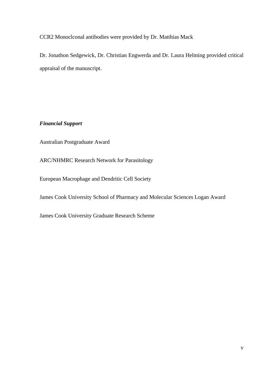CCR2 Monoclconal antibodies were provided by Dr. Matthias Mack

Dr. Jonathon Sedgewick, Dr. Christian Engwerda and Dr. Laura Helming provided critical appraisal of the manuscript.

#### *Financial Support*

Australian Postgraduate Award

ARC/NHMRC Research Network for Parasitology

European Macrophage and Dendritic Cell Society

James Cook University School of Pharmacy and Molecular Sciences Logan Award

James Cook University Graduate Research Scheme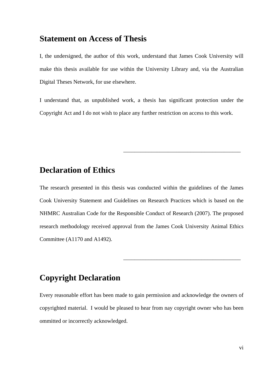#### **Statement on Access of Thesis**

I, the undersigned, the author of this work, understand that James Cook University will make this thesis available for use within the University Library and, via the Australian Digital Theses Network, for use elsewhere.

I understand that, as unpublished work, a thesis has significant protection under the Copyright Act and I do not wish to place any further restriction on access to this work.

\_\_\_\_\_\_\_\_\_\_\_\_\_\_\_\_\_\_\_\_\_\_\_\_\_\_\_\_\_\_\_\_\_\_\_\_\_\_\_\_\_\_

\_\_\_\_\_\_\_\_\_\_\_\_\_\_\_\_\_\_\_\_\_\_\_\_\_\_\_\_\_\_\_\_\_\_\_\_\_\_\_\_\_\_

#### **Declaration of Ethics**

The research presented in this thesis was conducted within the guidelines of the James Cook University Statement and Guidelines on Research Practices which is based on the NHMRC Australian Code for the Responsible Conduct of Research (2007). The proposed research methodology received approval from the James Cook University Animal Ethics Committee (A1170 and A1492).

#### **Copyright Declaration**

Every reasonable effort has been made to gain permission and acknowledge the owners of copyrighted material. I would be pleased to hear from nay copyright owner who has been ommitted or incorrectly acknowledged.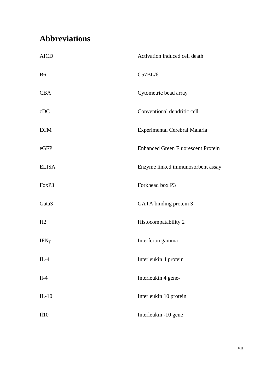### **Abbreviations**

| <b>AICD</b>  | Activation induced cell death             |
|--------------|-------------------------------------------|
| <b>B6</b>    | C57BL/6                                   |
| <b>CBA</b>   | Cytometric bead array                     |
| cDC          | Conventional dendritic cell               |
| <b>ECM</b>   | Experimental Cerebral Malaria             |
| eGFP         | <b>Enhanced Green Fluorescent Protein</b> |
| <b>ELISA</b> | Enzyme linked immunosorbent assay         |
| FoxP3        | Forkhead box P3                           |
| Gata3        | GATA binding protein 3                    |
| H2           | Histocompatability 2                      |
| IFΝγ         | Interferon gamma                          |
| $IL-4$       | Interleukin 4 protein                     |
| $II-4$       | Interleukin 4 gene-                       |
| $IL-10$      | Interleukin 10 protein                    |
| II10         | Interleukin -10 gene                      |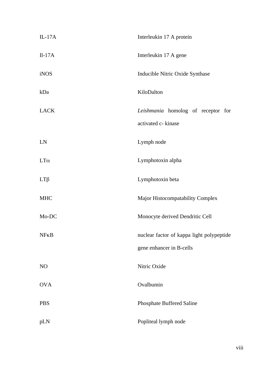| $IL-17A$    | Interleukin 17 A protein                                              |
|-------------|-----------------------------------------------------------------------|
| $II-17A$    | Interleukin 17 A gene                                                 |
| <b>iNOS</b> | Inducible Nitric Oxide Synthase                                       |
| kDa         | KiloDalton                                                            |
| <b>LACK</b> | Leishmania homolog of receptor for<br>activated c- kinase             |
| LN          | Lymph node                                                            |
| $LT\alpha$  | Lymphotoxin alpha                                                     |
| $LT\beta$   | Lymphotoxin beta                                                      |
| <b>MHC</b>  | Major Histocompatability Complex                                      |
| Mo-DC       | Monocyte derived Dendritic Cell                                       |
| $N$ $FKB$   | nuclear factor of kappa light polypeptide<br>gene enhancer in B-cells |
| NO          | Nitric Oxide                                                          |
| <b>OVA</b>  | Ovalbumin                                                             |
| <b>PBS</b>  | Phosphate Buffered Saline                                             |
| pLN         | Popliteal lymph node                                                  |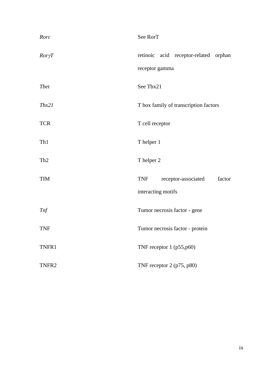| Rorc            | See RorT                                                          |
|-----------------|-------------------------------------------------------------------|
| $Ror\gamma T$   | retinoic acid receptor-related orphan<br>receptor gamma           |
| <b>T</b> bet    | See Tbx21                                                         |
| Tbx21           | T box family of transcription factors                             |
| <b>TCR</b>      | T cell receptor                                                   |
| Th1             | T helper 1                                                        |
| Th <sub>2</sub> | T helper 2                                                        |
| <b>TIM</b>      | <b>TNF</b><br>receptor-associated<br>factor<br>interacting motifs |
| <b>Tnf</b>      | Tumor necrosis factor - gene                                      |
| <b>TNF</b>      | Tumor necrosis factor - protein                                   |
| TNFR1           | TNF receptor 1 (p55,p60)                                          |
| TNFR2           | TNF receptor 2 (p75, p80)                                         |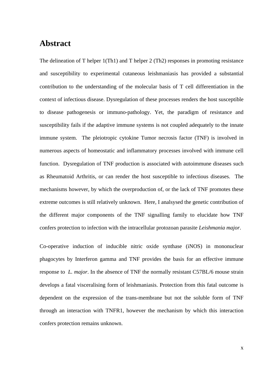#### **Abstract**

The delineation of T helper 1(Th1) and T helper 2 (Th2) responses in promoting resistance and susceptibility to experimental cutaneous leishmaniasis has provided a substantial contribution to the understanding of the molecular basis of T cell differentiation in the context of infectious disease. Dysregulation of these processes renders the host susceptible to disease pathogenesis or immuno-pathology. Yet, the paradigm of resistance and susceptibility fails if the adaptive immune systems is not coupled adequately to the innate immune system. The pleiotropic cytokine Tumor necrosis factor (TNF) is involved in numerous aspects of homeostatic and inflammatory processes involved with immune cell function. Dysregulation of TNF production is associated with autoimmune diseases such as Rheumatoid Arthritis, or can render the host susceptible to infectious diseases. The mechanisms however, by which the overproduction of, or the lack of TNF promotes these extreme outcomes is still relatively unknown. Here, I analsysed the genetic contribution of the different major components of the TNF signalling family to elucidate how TNF confers protection to infection with the intracellular protozoan parasite *Leishmania major*.

Co-operative induction of inducible nitric oxide synthase (iNOS) in mononuclear phagocytes by Interferon gamma and TNF provides the basis for an effective immune response to *L. major*. In the absence of TNF the normally resistant C57BL/6 mouse strain develops a fatal visceralising form of leishmaniasis. Protection from this fatal outcome is dependent on the expression of the trans-membrane but not the soluble form of TNF through an interaction with TNFR1, however the mechanism by which this interaction confers protection remains unknown.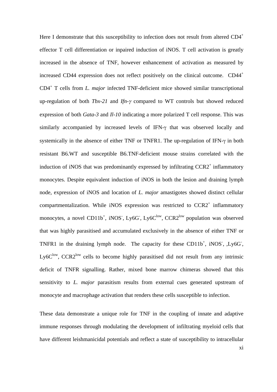Here I demonstrate that this susceptibility to infection does not result from altered  $CD4^+$ effector T cell differentiation or inpaired induction of iNOS. T cell activation is greatly increased in the absence of TNF, however enhancement of activation as measured by increased CD44 expression does not reflect positively on the clinical outcome. CD44<sup>+</sup> CD4<sup>+</sup> T cells from *L. major* infected TNF-deficient mice showed similar transcriptional up-regulation of both *Tbx-21* and *Ifn-*γ compared to WT controls but showed reduced expression of both *Gata-3* and *Il-10* indicating a more polarized T cell response. This was similarly accompanied by increased levels of IFN-γ that was observed locally and systemically in the absence of either TNF or TNFR1. The up-regulation of IFN-γ in both resistant B6.WT and susceptible B6.TNF-deficient mouse strains correlated with the induction of iNOS that was predominantly expressed by infiltrating  $CCR2<sup>+</sup>$  inflammatory monocytes. Despite equivalent induction of iNOS in both the lesion and draining lymph node, expression of iNOS and location of *L. major* amastigotes showed distinct cellular compartmentalization. While iNOS expression was restricted to  $CCR2<sup>+</sup>$  inflammatory monocytes, a novel CD11b<sup>+</sup>, iNOS<sup>-</sup>, Ly6G<sup>-</sup>, Ly6C<sup>low</sup>, CCR2<sup>low</sup> population was observed that was highly parasitised and accumulated exclusively in the absence of either TNF or TNFR1 in the draining lymph node. The capacity for these  $CD11b^+$ , iNOS,  $Ly6G$ , Ly6 $C^{\text{low}}$ , CCR2<sup>low</sup> cells to become highly parasitised did not result from any intrinsic deficit of TNFR signalling. Rather, mixed bone marrow chimeras showed that this sensitivity to *L. major* parasitism results from external cues generated upstream of monocyte and macrophage activation that renders these cells susceptible to infection.

These data demonstrate a unique role for TNF in the coupling of innate and adaptive immune responses through modulating the development of infiltrating myeloid cells that have different leishmanicidal potentials and reflect a state of susceptibility to intracellular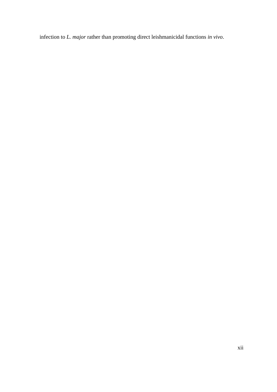infection to *L. major* rather than promoting direct leishmanicidal functions *in vivo*.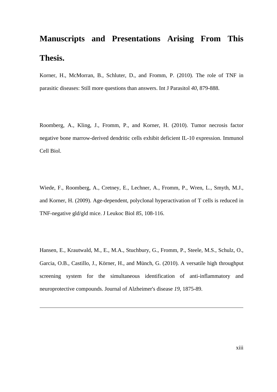## **Manuscripts and Presentations Arising From This Thesis.**

Korner, H., McMorran, B., Schluter, D., and Fromm, P. (2010). The role of TNF in parasitic diseases: Still more questions than answers. Int J Parasitol *40*, 879-888.

Roomberg, A., Kling, J., Fromm, P., and Korner, H. (2010). Tumor necrosis factor negative bone marrow-derived dendritic cells exhibit deficient IL-10 expression. Immunol Cell Biol.

Wiede, F., Roomberg, A., Cretney, E., Lechner, A., Fromm, P., Wren, L., Smyth, M.J., and Korner, H. (2009). Age-dependent, polyclonal hyperactivation of T cells is reduced in TNF-negative gld/gld mice. J Leukoc Biol *85*, 108-116.

Hansen, E., Krautwald, M., E., M.A., Stuchbury, G., Fromm, P., Steele, M.S., Schulz, O., Garcia, O.B., Castillo, J., Körner, H., and Münch, G. (2010). A versatile high throughput screening system for the simultaneous identification of anti-inflammatory and neuroprotective compounds. Journal of Alzheimer's disease *19*, 1875-89.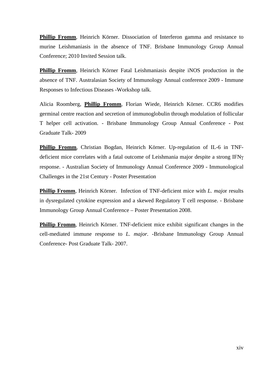**Phillip Fromm**, Heinrich Körner. Dissociation of Interferon gamma and resistance to murine Leishmaniasis in the absence of TNF. Brisbane Immunology Group Annual Conference; 2010 Invited Session talk.

**Phillip Fromm**, Heinrich Körner Fatal Leishmaniasis despite iNOS production in the absence of TNF. Australasian Society of Immunology Annual conference 2009 - Immune Responses to Infectious Diseases -Workshop talk.

Alicia Roomberg, **Phillip Fromm**, Florian Wiede, Heinrich Körner. CCR6 modifies germinal centre reaction and secretion of immunoglobulin through modulation of follicular T helper cell activation. - Brisbane Immunology Group Annual Conference - Post Graduate Talk- 2009

**Phillip Fromm**, Christian Bogdan, Heinrich Körner. Up-regulation of IL-6 in TNFdeficient mice correlates with a fatal outcome of Leishmania major despite a strong IFNγ response. - Australian Society of Immunology Annual Conference 2009 - Immunological Challenges in the 21st Century - Poster Presentation

**Phillip Fromm**, Heinrich Körner. Infection of TNF-deficient mice with *L. majo*r results in dysregulated cytokine expression and a skewed Regulatory T cell response. - Brisbane Immunology Group Annual Conference – Poster Presentation 2008.

**Phillip Fromm**, Heinrich Körner. TNF-deficient mice exhibit significant changes in the cell-mediated immune response to *L. major.* -Brisbane Immunology Group Annual Conference- Post Graduate Talk- 2007.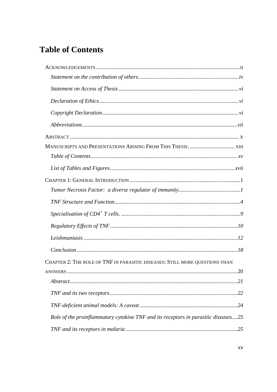### **Table of Contents**

| CHAPTER 2: THE ROLE OF TNF IN PARASITIC DISEASES: STILL MORE QUESTIONS THAN        |  |
|------------------------------------------------------------------------------------|--|
| 20<br><b>ANSWERS</b>                                                               |  |
|                                                                                    |  |
|                                                                                    |  |
|                                                                                    |  |
| Role of the proinflammatory cytokine TNF and its receptors in parasitic diseases25 |  |
|                                                                                    |  |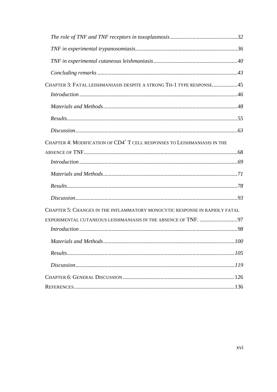| CHAPTER 3: FATAL LEISHMANIASIS DESPITE A STRONG TH-1 TYPE RESPONSE45                 |  |
|--------------------------------------------------------------------------------------|--|
|                                                                                      |  |
|                                                                                      |  |
|                                                                                      |  |
|                                                                                      |  |
| CHAPTER 4: MODIFICATION OF CD4 <sup>+</sup> T CELL RESPONSES TO LEISHMANIASIS IN THE |  |
|                                                                                      |  |
|                                                                                      |  |
|                                                                                      |  |
|                                                                                      |  |
|                                                                                      |  |
| CHAPTER 5: CHANGES IN THE INFLAMMATORY MONOCYTIC RESPONSE IN RAPIDLY FATAL           |  |
| EXPERIMENTAL CUTANEOUS LEISHMANIASIS IN THE ABSENCE OF TNF. 97                       |  |
|                                                                                      |  |
|                                                                                      |  |
|                                                                                      |  |
|                                                                                      |  |
|                                                                                      |  |
|                                                                                      |  |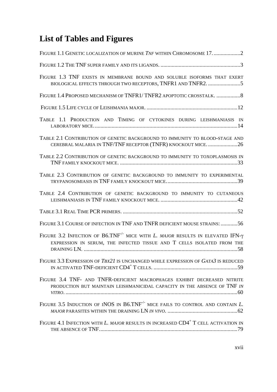## **List of Tables and Figures**

| FIGURE 1.1 GENETIC LOCALIZATION OF MURINE TNF WITHIN CHROMOSOME 172                                                                                                                                  |
|------------------------------------------------------------------------------------------------------------------------------------------------------------------------------------------------------|
|                                                                                                                                                                                                      |
| FIGURE 1.3 TNF EXISTS IN MEMBRANE BOUND AND SOLUBLE ISOFORMS THAT EXERT<br>BIOLOGICAL EFFECTS THROUGH TWO RECEPTORS, TNFR1 AND TNFR2. 5                                                              |
| FIGURE 1.4 PROPOSED MECHANISM OF TNFR1/TNFR2 APOPTOTIC CROSSTALK.  8                                                                                                                                 |
|                                                                                                                                                                                                      |
| TABLE 1.1 PRODUCTION AND TIMING OF CYTOKINES DURING LEISHMANIASIS IN                                                                                                                                 |
| TABLE 2.1 CONTRIBUTION OF GENETIC BACKGROUND TO IMMUNITY TO BLOOD-STAGE AND<br>CEREBRAL MALARIA IN TNF/TNF RECEPTOR (TNFR) KNOCKOUT MICE. 26                                                         |
| TABLE 2.2 CONTRIBUTION OF GENETIC BACKGROUND TO IMMUNITY TO TOXOPLASMOSIS IN                                                                                                                         |
| TABLE 2.3 CONTRIBUTION OF GENETIC BACKGROUND TO IMMUNITY TO EXPERIMENTAL                                                                                                                             |
| TABLE 2.4 CONTRIBUTION OF GENETIC BACKGROUND TO IMMUNITY TO CUTANEOUS                                                                                                                                |
|                                                                                                                                                                                                      |
| FIGURE 3.1 COURSE OF INFECTION IN TNF AND TNFR DEFICIENT MOUSE STRAINS: 56                                                                                                                           |
| FIGURE 3.2 INFECTION OF B6.TNF <sup><math>\prime</math>-</sup> MICE WITH <i>L. MAJOR</i> RESULTS IN ELEVATED IFN- $\gamma$<br>EXPRESSION IN SERUM, THE INFECTED TISSUE AND T CELLS ISOLATED FROM THE |
| FIGURE 3.3 EXPRESSION OF TBX21 IS UNCHANGED WHILE EXPRESSION OF GATA3 IS REDUCED                                                                                                                     |
| FIGURE 3.4 TNF- AND TNFR-DEFICIENT MACROPHAGES EXHIBIT DECREASED NITRITE<br>PRODUCTION BUT MAINTAIN LEISHMANICIDAL CAPACITY IN THE ABSENCE OF TNF IN                                                 |
| FIGURE 3.5 INDUCTION OF INOS IN B6.TNF <sup><math>\prime</math>-</sup> MICE FAILS TO CONTROL AND CONTAIN L.                                                                                          |
| FIGURE 4.1 INFECTION WITH L. MAJOR RESULTS IN INCREASED CD4 <sup>+</sup> T CELL ACTIVATION IN                                                                                                        |